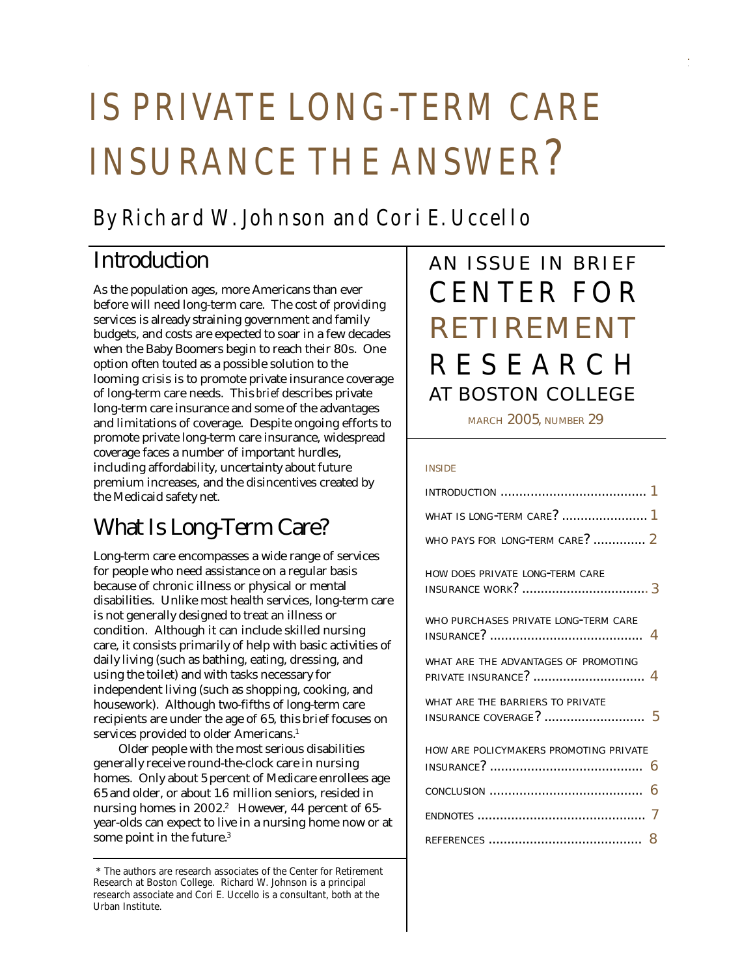# IS PRIVATE LONG-TERM CARE INSURANCE THE ANSWER?

## By Richard W. Johnson and Cori E. Uccello

## Introduction

As the population ages, more Americans than ever before will need long-term care. The cost of providi ng services is already straining government and family budgets, and costs are expected to soar in a few decades when the Baby Boomers begin to reach their 80s. One option often touted as a possible solution to the looming crisis is to promote private insurance coverag e of long-term care needs. This *brief* describes private long-term care insurance and some of the advantages and limitations of coverage. Despite ongoing efforts to promote private long-term care insurance, widespread coverage faces a number of important hurdles, including affordability, uncertainty about future premium increases, and the disincentives created by the Medicaid safety net.

## What Is Long-Term Care?

Long-term care encompasses a wide range of services for people who need assistance on a regular basis because of chronic illness or physical or mental disabilities. Unlike most health services, long-term care is not generally designed to treat an illness or condition. Although it can include skilled nursing care, it consists primarily of help with basic activities of daily living (such as bathing, eating, dressing, and using the toilet) and with tasks necessary for independent living (such as shopping, cooking, and housework). Although two-fifths of long-term care recipients are under the age of 65, this brief focuses on services provided to older Americans.<sup>1</sup>

Older people with the most serious disabilities generally receive round-the-clock care in nursing homes. Only about 5 percent of Medicare enrollees age 65 and older, or about 1.6 million seniors, resided in nursing homes in 2002.<sup>2</sup> However, 44 percent of 65year-olds can expect to live in a nursing home now or at some point in the future.<sup>3</sup>

## AN ISSUE IN BRIEF CENTER FOR AT BOSTON COLLEGE RESEARCH RETIREMENT

MARCH 2005, NUMBER 29

#### INSIDE

| WHAT IS LONG-TERM CARE?  1             |
|----------------------------------------|
| WHO PAYS FOR LONG-TERM CARE?  2        |
| HOW DOES PRIVATE LONG-TERM CARE        |
| WHO PURCHASES PRIVATE LONG-TERM CARE   |
| WHAT ARE THE ADVANTAGES OF PROMOTING   |
| WHAT ARE THE BARRIERS TO PRIVATE       |
| HOW ARE POLICYMAKERS PROMOTING PRIVATE |
| 6                                      |
|                                        |
|                                        |
|                                        |

 <sup>\*</sup> The authors are research associates of the Center for Retirement Research at Boston College. Richard W. Johnson is a principal research associate and Cori E. Uccello is a consultant, both at the Urban Institute.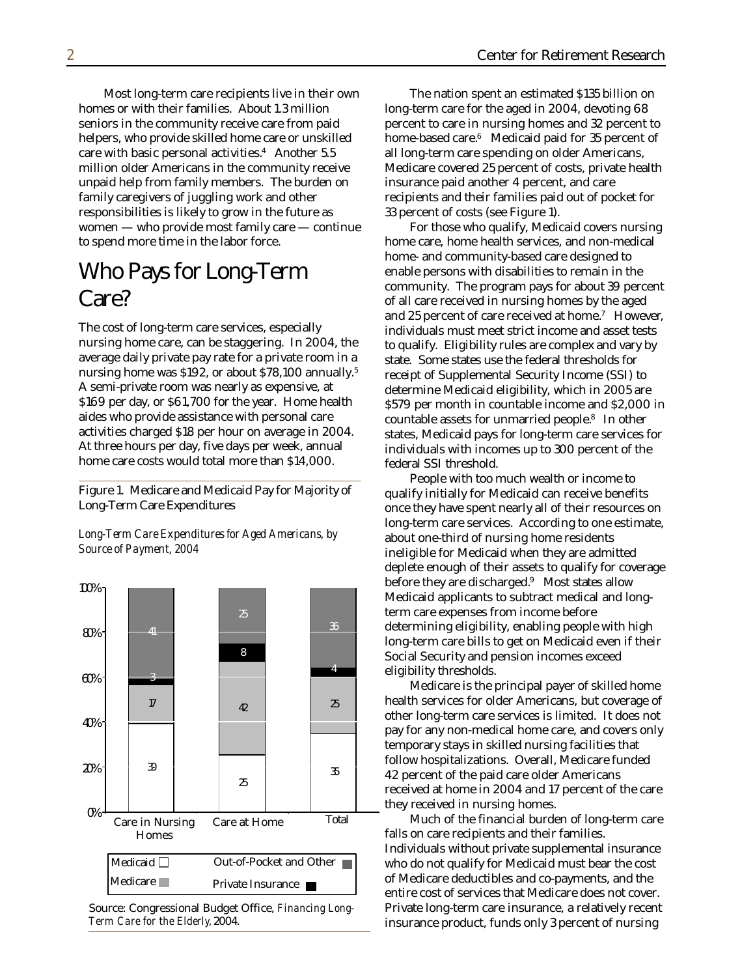Most long-term care recipients live in their own homes or with their families. About 1.3 million seniors in the community receive care from paid helpers, who provide skilled home care or unskilled care with basic personal activities.<sup>4</sup> Another 5.5 million older Americans in the community receive unpaid help from family members. The burden on family caregivers of juggling work and other responsibilities is likely to grow in the future as women — who provide most family care — continue to spend more time in the labor force.

#### Who Pays for Long-Term Care?

The cost of long-term care services, especially nursing home care, can be staggering. In 2004, the average daily private pay rate for a private room in a nursing home was \$192, or about \$78,100 annually.<sup>5</sup> A semi-private room was nearly as expensive, at \$169 per day, or \$61,700 for the year. Home health aides who provide assistance with personal care activities charged \$18 per hour on average in 2004. At three hours per day, five days per week, annual home care costs would total more than \$14,000.

Figure 1. Medicare and Medicaid Pay for Majority of Long-Term Care Expenditures

*Long-Term Care Expenditures for Aged Americans, by Source of Payment, 2004*



Source: Congressional Budget Office, *Financing Long-Term Care for the Elderly,* 2004.

The nation spent an estimated \$135 billion on long-term care for the aged in 2004, devoting 68 percent to care in nursing homes and 32 percent to home-based care.<sup>6</sup> Medicaid paid for 35 percent of all long-term care spending on older Americans, Medicare covered 25 percent of costs, private health insurance paid another 4 percent, and care recipients and their families paid out of pocket for 33 percent of costs (see Figure 1).

For those who qualify, Medicaid covers nursing home care, home health services, and non-medical home- and community-based care designed to enable persons with disabilities to remain in the community. The program pays for about 39 percent of all care received in nursing homes by the aged and 25 percent of care received at home.<sup>7</sup> However, individuals must meet strict income and asset tests to qualify. Eligibility rules are complex and vary by state. Some states use the federal thresholds for receipt of Supplemental Security Income (SSI) to determine Medicaid eligibility, which in 2005 are \$579 per month in countable income and \$2,000 in countable assets for unmarried people.<sup>8</sup> In other states, Medicaid pays for long-term care services for individuals with incomes up to 300 percent of the federal SSI threshold.

People with too much wealth or income to qualify initially for Medicaid can receive benefits once they have spent nearly all of their resources on long-term care services. According to one estimate, about one-third of nursing home residents ineligible for Medicaid when they are admitted deplete enough of their assets to qualify for coverage before they are discharged.<sup>9</sup> Most states allow Medicaid applicants to subtract medical and longterm care expenses from income before determining eligibility, enabling people with high long-term care bills to get on Medicaid even if their Social Security and pension incomes exceed eligibility thresholds.

Medicare is the principal payer of skilled home health services for older Americans, but coverage of other long-term care services is limited. It does not pay for any non-medical home care, and covers only temporary stays in skilled nursing facilities that follow hospitalizations. Overall, Medicare funded 42 percent of the paid care older Americans received at home in 2004 and 17 percent of the care they received in nursing homes.

Much of the financial burden of long-term care falls on care recipients and their families. Individuals without private supplemental insurance who do not qualify for Medicaid must bear the cost of Medicare deductibles and co-payments, and the entire cost of services that Medicare does not cover. Private long-term care insurance, a relatively recent insurance product, funds only 3 percent of nursing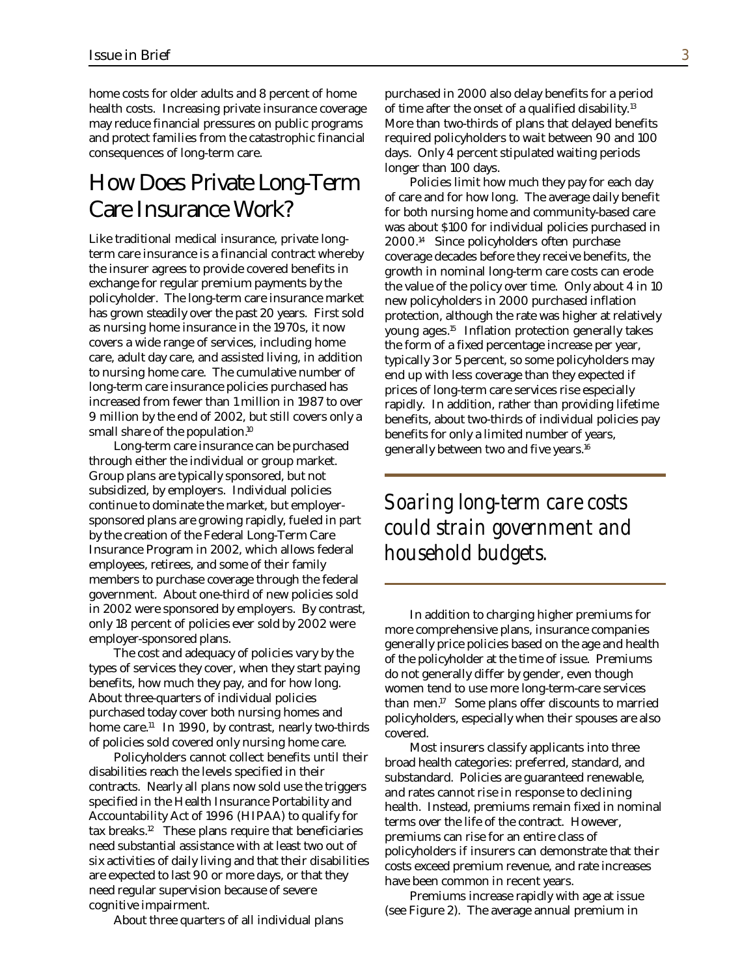home costs for older adults and 8 percent of home health costs. Increasing private insurance coverage may reduce financial pressures on public programs and protect families from the catastrophic financial consequences of long-term care.

#### How Does Private Long-Term Care Insurance Work?

Like traditional medical insurance, private longterm care insurance is a financial contract whereby the insurer agrees to provide covered benefits in exchange for regular premium payments by the policyholder. The long-term care insurance market has grown steadily over the past 20 years. First sold as nursing home insurance in the 1970s, it now covers a wide range of services, including home care, adult day care, and assisted living, in addition to nursing home care. The cumulative number of long-term care insurance policies purchased has increased from fewer than 1 million in 1987 to over 9 million by the end of 2002, but still covers only a small share of the population.<sup>10</sup>

Long-term care insurance can be purchased through either the individual or group market. Group plans are typically sponsored, but not subsidized, by employers. Individual policies continue to dominate the market, but employersponsored plans are growing rapidly, fueled in part by the creation of the Federal Long-Term Care Insurance Program in 2002, which allows federal employees, retirees, and some of their family members to purchase coverage through the federal government. About one-third of new policies sold in 2002 were sponsored by employers. By contrast, only 18 percent of policies ever sold by 2002 were employer-sponsored plans.

The cost and adequacy of policies vary by the types of services they cover, when they start paying benefits, how much they pay, and for how long. About three-quarters of individual policies purchased today cover both nursing homes and home care.<sup>11</sup> In 1990, by contrast, nearly two-thirds of policies sold covered only nursing home care.

Policyholders cannot collect benefits until their disabilities reach the levels specified in their contracts. Nearly all plans now sold use the triggers specified in the Health Insurance Portability and Accountability Act of 1996 (HIPAA) to qualify for tax breaks.<sup>12</sup> These plans require that beneficiaries need substantial assistance with at least two out of six activities of daily living and that their disabilities are expected to last 90 or more days, or that they need regular supervision because of severe cognitive impairment.

About three quarters of all individual plans

purchased in 2000 also delay benefits for a period of time after the onset of a qualified disability.<sup>13</sup> More than two-thirds of plans that delayed benefits required policyholders to wait between 90 and 100 days. Only 4 percent stipulated waiting periods longer than 100 days.

Policies limit how much they pay for each day of care and for how long. The average daily benefit for both nursing home and community-based care was about \$100 for individual policies purchased in 2000.<sup>14</sup> Since policyholders often purchase coverage decades before they receive benefits, the growth in nominal long-term care costs can erode the value of the policy over time. Only about 4 in 10 new policyholders in 2000 purchased inflation protection, although the rate was higher at relatively young ages.<sup>15</sup> Inflation protection generally takes the form of a fixed percentage increase per year, typically 3 or 5 percent, so some policyholders may end up with less coverage than they expected if prices of long-term care services rise especially rapidly. In addition, rather than providing lifetime benefits, about two-thirds of individual policies pay benefits for only a limited number of years, generally between two and five years.<sup>16</sup>

#### *Soaring long-term care costs could strain government and household budgets.*

In addition to charging higher premiums for more comprehensive plans, insurance companies generally price policies based on the age and health of the policyholder at the time of issue. Premiums do not generally differ by gender, even though women tend to use more long-term-care services than men.<sup>17</sup> Some plans offer discounts to married policyholders, especially when their spouses are also covered.

Most insurers classify applicants into three broad health categories: preferred, standard, and substandard. Policies are guaranteed renewable, and rates cannot rise in response to declining health. Instead, premiums remain fixed in nominal terms over the life of the contract. However, premiums can rise for an entire class of policyholders if insurers can demonstrate that their costs exceed premium revenue, and rate increases have been common in recent years.

Premiums increase rapidly with age at issue (see Figure 2). The average annual premium in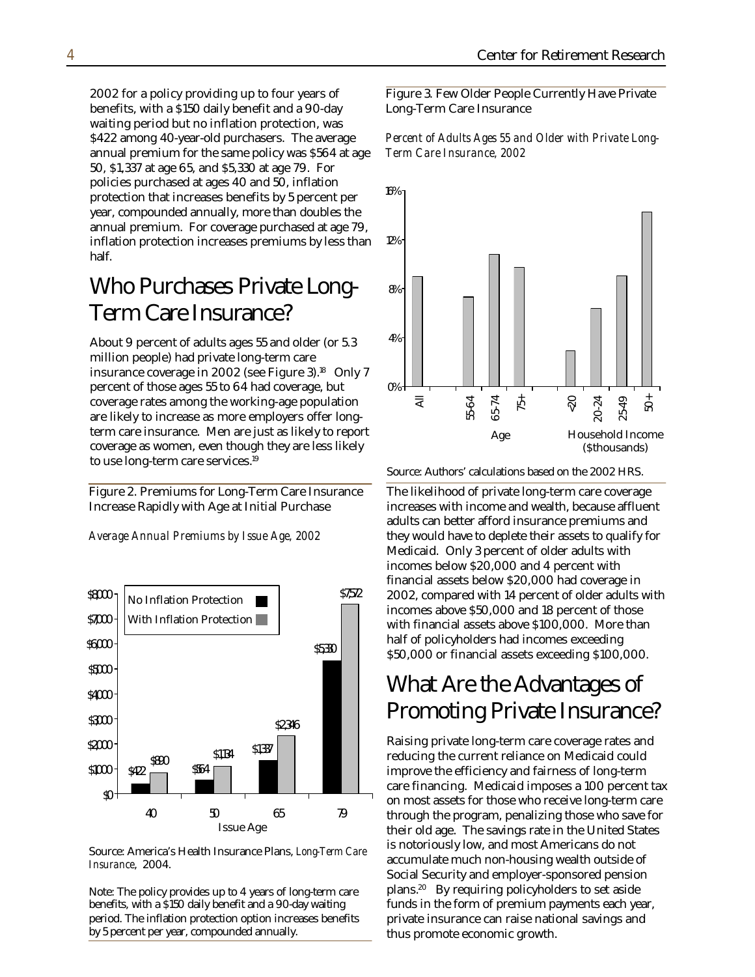2002 for a policy providing up to four years of benefits, with a \$150 daily benefit and a 90-day waiting period but no inflation protection, was \$422 among 40-year-old purchasers. The average annual premium for the same policy was \$564 at age 50, \$1,337 at age 65, and \$5,330 at age 79. For policies purchased at ages 40 and 50, inflation protection that increases benefits by 5 percent per year, compounded annually, more than doubles the annual premium. For coverage purchased at age 79, inflation protection increases premiums by less than half.

### Who Purchases Private Long-Term Care Insurance?

About 9 percent of adults ages 55 and older (or 5.3 million people) had private long-term care insurance coverage in 2002 (see Figure 3).<sup>18</sup> Only 7 percent of those ages 55 to 64 had coverage, but coverage rates among the working-age population are likely to increase as more employers offer longterm care insurance. Men are just as likely to report coverage as women, even though they are less likely to use long-term care services.<sup>19</sup>

Figure 2. Premiums for Long-Term Care Insurance Increase Rapidly with Age at Initial Purchase

*Average Annual Premiums by Issue Age, 2002*



Source: America's Health Insurance Plans, *Long-Term Care Insurance*, 2004.

Note: The policy provides up to 4 years of long-term care benefits, with a \$150 daily benefit and a 90-day waiting period. The inflation protection option increases benefits by 5 percent per year, compounded annually.

Figure 3. Few Older People Currently Have Private Long-Term Care Insurance

*Percent of Adults Ages 55 and Older with Private Long-Term Care Insurance, 2002*



Source: Authors' calculations based on the 2002 HRS.

The likelihood of private long-term care coverage increases with income and wealth, because affluent adults can better afford insurance premiums and they would have to deplete their assets to qualify for Medicaid. Only 3 percent of older adults with incomes below \$20,000 and 4 percent with financial assets below \$20,000 had coverage in 2002, compared with 14 percent of older adults with incomes above \$50,000 and 18 percent of those with financial assets above \$100,000. More than half of policyholders had incomes exceeding \$50,000 or financial assets exceeding \$100,000.

#### What Are the Advantages of Promoting Private Insurance?

Raising private long-term care coverage rates and reducing the current reliance on Medicaid could improve the efficiency and fairness of long-term care financing. Medicaid imposes a 100 percent tax on most assets for those who receive long-term care through the program, penalizing those who save for their old age. The savings rate in the United States is notoriously low, and most Americans do not accumulate much non-housing wealth outside of Social Security and employer-sponsored pension plans.<sup>20</sup> By requiring policyholders to set aside funds in the form of premium payments each year, private insurance can raise national savings and thus promote economic growth.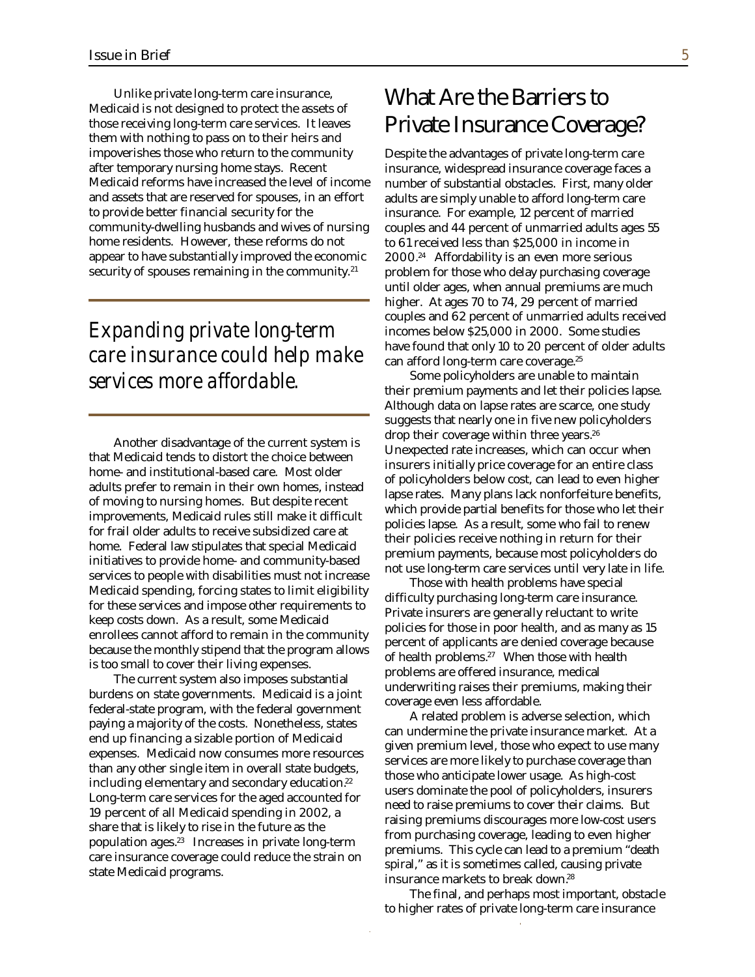Unlike private long-term care insurance, Medicaid is not designed to protect the assets of those receiving long-term care services. It leaves them with nothing to pass on to their heirs and impoverishes those who return to the community after temporary nursing home stays. Recent Medicaid reforms have increased the level of income and assets that are reserved for spouses, in an effort to provide better financial security for the community-dwelling husbands and wives of nursing home residents. However, these reforms do not appear to have substantially improved the economic security of spouses remaining in the community.<sup>21</sup>

#### *Expanding private long-term care insurance could help make services more affordable.*

Another disadvantage of the current system is that Medicaid tends to distort the choice between home- and institutional-based care. Most older adults prefer to remain in their own homes, instead of moving to nursing homes. But despite recent improvements, Medicaid rules still make it difficult for frail older adults to receive subsidized care at home. Federal law stipulates that special Medicaid initiatives to provide home- and community-based services to people with disabilities must not increase Medicaid spending, forcing states to limit eligibility for these services and impose other requirements to keep costs down. As a result, some Medicaid enrollees cannot afford to remain in the community because the monthly stipend that the program allows is too small to cover their living expenses.

The current system also imposes substantial burdens on state governments. Medicaid is a joint federal-state program, with the federal government paying a majority of the costs. Nonetheless, states end up financing a sizable portion of Medicaid expenses. Medicaid now consumes more resources than any other single item in overall state budgets, including elementary and secondary education.<sup>22</sup> Long-term care services for the aged accounted for 19 percent of all Medicaid spending in 2002, a share that is likely to rise in the future as the population ages.<sup>23</sup> Increases in private long-term care insurance coverage could reduce the strain on state Medicaid programs.

#### What Are the Barriers to Private Insurance Coverage?

Despite the advantages of private long-term care insurance, widespread insurance coverage faces a number of substantial obstacles. First, many older adults are simply unable to afford long-term care insurance. For example, 12 percent of married couples and 44 percent of unmarried adults ages 55 to 61 received less than \$25,000 in income in 2000.<sup>24</sup> Affordability is an even more serious problem for those who delay purchasing coverage until older ages, when annual premiums are much higher. At ages 70 to 74, 29 percent of married couples and 62 percent of unmarried adults received incomes below \$25,000 in 2000. Some studies have found that only 10 to 20 percent of older adults can afford long-term care coverage.<sup>25</sup>

Some policyholders are unable to maintain their premium payments and let their policies lapse. Although data on lapse rates are scarce, one study suggests that nearly one in five new policyholders drop their coverage within three years.<sup>26</sup> Unexpected rate increases, which can occur when insurers initially price coverage for an entire class of policyholders below cost, can lead to even higher lapse rates. Many plans lack nonforfeiture benefits, which provide partial benefits for those who let their policies lapse. As a result, some who fail to renew their policies receive nothing in return for their premium payments, because most policyholders do not use long-term care services until very late in life.

Those with health problems have special difficulty purchasing long-term care insurance. Private insurers are generally reluctant to write policies for those in poor health, and as many as 15 percent of applicants are denied coverage because of health problems.<sup>27</sup> When those with health problems are offered insurance, medical underwriting raises their premiums, making their coverage even less affordable.

A related problem is adverse selection, which can undermine the private insurance market. At a given premium level, those who expect to use many services are more likely to purchase coverage than those who anticipate lower usage. As high-cost users dominate the pool of policyholders, insurers need to raise premiums to cover their claims. But raising premiums discourages more low-cost users from purchasing coverage, leading to even higher premiums. This cycle can lead to a premium "death spiral," as it is sometimes called, causing private insurance markets to break down.<sup>28</sup>

The final, and perhaps most important, obstacle to higher rates of private long-term care insurance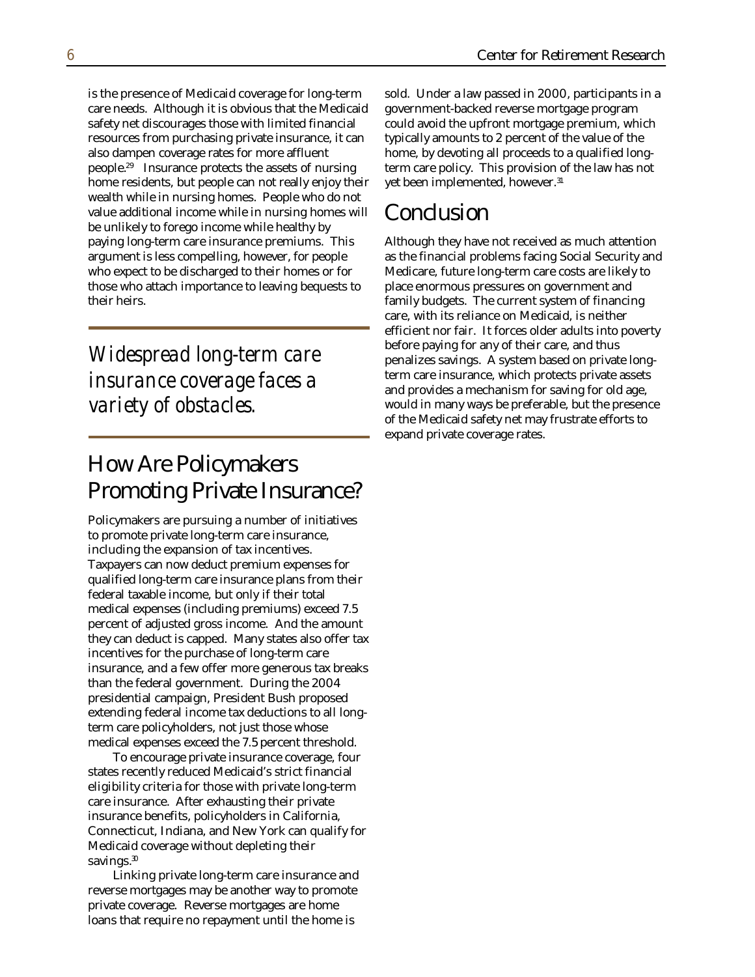is the presence of Medicaid coverage for long-term care needs. Although it is obvious that the Medicaid safety net discourages those with limited financial resources from purchasing private insurance, it can also dampen coverage rates for more affluent people.<sup>29</sup> Insurance protects the assets of nursing home residents, but people can not really enjoy their wealth while in nursing homes. People who do not value additional income while in nursing homes will be unlikely to forego income while healthy by paying long-term care insurance premiums. This argument is less compelling, however, for people who expect to be discharged to their homes or for those who attach importance to leaving bequests to their heirs.

#### *Widespread long-term care insurance coverage faces a variety of obstacles.*

### How Are Policymakers Promoting Private Insurance?

Policymakers are pursuing a number of initiatives to promote private long-term care insurance, including the expansion of tax incentives. Taxpayers can now deduct premium expenses for qualified long-term care insurance plans from their federal taxable income, but only if their total medical expenses (including premiums) exceed 7.5 percent of adjusted gross income. And the amount they can deduct is capped. Many states also offer tax incentives for the purchase of long-term care insurance, and a few offer more generous tax breaks than the federal government. During the 2004 presidential campaign, President Bush proposed extending federal income tax deductions to all longterm care policyholders, not just those whose medical expenses exceed the 7.5 percent threshold.

To encourage private insurance coverage, four states recently reduced Medicaid's strict financial eligibility criteria for those with private long-term care insurance. After exhausting their private insurance benefits, policyholders in California, Connecticut, Indiana, and New York can qualify for Medicaid coverage without depleting their savings.<sup>30</sup>

Linking private long-term care insurance and reverse mortgages may be another way to promote private coverage. Reverse mortgages are home loans that require no repayment until the home is

sold. Under a law passed in 2000, participants in a government-backed reverse mortgage program could avoid the upfront mortgage premium, which typically amounts to 2 percent of the value of the home, by devoting all proceeds to a qualified longterm care policy. This provision of the law has not yet been implemented, however.<sup>31</sup>

#### Conclusion

Although they have not received as much attention as the financial problems facing Social Security and Medicare, future long-term care costs are likely to place enormous pressures on government and family budgets. The current system of financing care, with its reliance on Medicaid, is neither efficient nor fair. It forces older adults into poverty before paying for any of their care, and thus penalizes savings. A system based on private longterm care insurance, which protects private assets and provides a mechanism for saving for old age, would in many ways be preferable, but the presence of the Medicaid safety net may frustrate efforts to expand private coverage rates.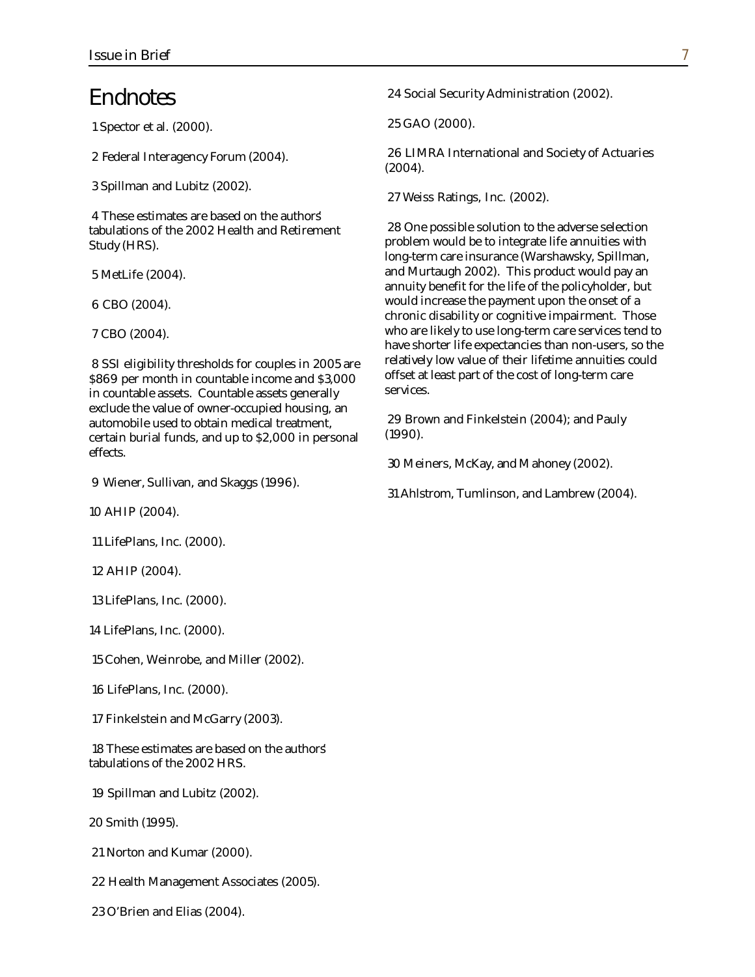#### Endnotes

1 Spector et al. (2000).

2 Federal Interagency Forum (2004).

3 Spillman and Lubitz (2002).

4 These estimates are based on the authors' tabulations of the 2002 Health and Retirement Study (HRS).

5 MetLife (2004).

6 CBO (2004).

7 CBO (2004).

8 SSI eligibility thresholds for couples in 2005 ar e \$869 per month in countable income and \$3,00 0 in countable assets. Countable assets generally exclude the value of owner-occupied housing, an automobile used to obtain medical treatment, certain burial funds, and up to \$2,000 in person al effects.

9 Wiener, Sullivan, and Skaggs (1996).

10 AHIP (2004).

11 LifePlans, Inc. (2000).

12 AHIP (2004).

13 LifePlans, Inc. (2000).

14 LifePlans, Inc. (2000).

15 Cohen, Weinrobe, and Miller (2002).

16 LifePlans, Inc. (2000).

17 Finkelstein and McGarry (2003).

18 These estimates are based on the authors' tabulations of the 2002 HRS.

19 Spillman and Lubitz (2002).

20 Smith (1995).

21 Norton and Kumar (2000).

22 Health Management Associates (2005).

23 O'Brien and Elias (2004).

24 Social Security Administration (2002).

25 GAO (2000).

26 LIMRA International and Society of Actuaries (2004).

27 Weiss Ratings, Inc. (2002).

28 One possible solution to the adverse selection problem would be to integrate life annuities with long-term care insurance (Warshawsky, Spillman, and Murtaugh 2002). This product would pay an annuity benefit for the life of the policyholder, but would increase the payment upon the onset of a chronic disability or cognitive impairment. Those who are likely to use long-term care services tend to have shorter life expectancies than non-users, so the relatively low value of their lifetime annuities could offset at least part of the cost of long-term care services.

29 Brown and Finkelstein (2004); and Pauly (1990).

30 Meiners, McKay, and M ahoney (2002).

31 Ahlstrom, Tumlinson, and Lambrew (2004).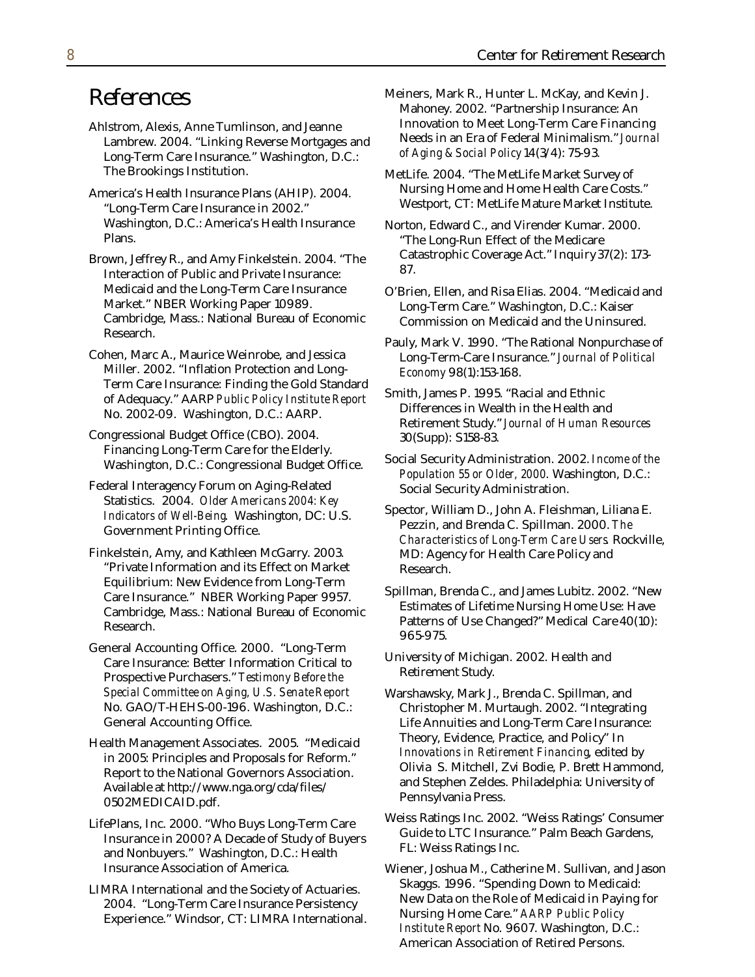#### References

- Ahlstrom, Alexis, Anne Tumlinson, and Jeanne Lambrew. 2004. "Linking Reverse Mortgages an Long-Term Care Insurance." Washington, D.C.: The Brookings Institution.
- America's Health Insurance Plans (AHIP). 2004. "Long-Term Care Insurance in 2002." Washington, D.C.: America's Health Insurance Plans.

Brown, Jeffrey R., and Amy Finkelstein. 2004. "The Interaction of Public and Private Insurance: Medicaid and the Long-Term Care Insurance Market." NBER Working Paper 10989. Cambridge, Mass.: National Bureau of Economic Research.

Cohen, Marc A., Maurice Weinrobe, and Jessica Miller. 2002. "Inflation Protection and Long-Term Care Insurance: Finding the Gold Standar d of Adequacy." AARP *Public Policy Institute Repor* No. 2002-09. Washington, D.C.: AARP.

Congressional Budget Office (CBO). 2004. Financing Long-Term Care for the Elderly. Washington, D.C.: Congressional Budget Office.

- Federal Interagency Forum on Aging-Related Statistics. 2004. *Older Americans 2004: Key Indicators of Well-Being*. Washington, DC: U.S. Government Printing Office.
- Finkelstein, Amy, and Kathleen McGarry. 2003. "Private Information and its Effect on Market Equilibrium: New Evidence from Long-Term Care Insurance." NBER Working Paper 9957. Cambridge, Mass.: National Bureau of Economic Research.

General Accounting Office. 2000. "Long-Term Care Insurance: Better Information Critical to Prospective Purchasers." *Testimony Before the Special Committee on Aging, U.S. Senate Report* No. GAO/T-HEHS-00-196. Washington, D.C.: General Accounting Office.

Health Management Associates. 2005. "Medicaid in 2005: Principles and Proposals for Reform." Report to the National Governors Association. Available at http://www.nga.org/cda/files/ 0502MEDICAID.pdf.

LifePlans, Inc. 2000. "Who Buys Long-Term Care Insurance in 2000? A Decade of Study of Buyers and Nonbuyers." Washington, D.C.: Health Insurance Association of America.

LIMRA International and the Society of Actuaries. 2004. "Long-Term Care Insurance Persistency Experience." Windsor, CT: LIMRA International . Meiners, Mark R., Hunter L. McKay, and Kevin J. Mahoney. 2002. "Partnership Insurance: An Innovation to Meet Long-Term Care Financing d Needs in an Era of Federal Minimalism." *Journal of Aging & Social Policy* 14(3/4): 75-93.

MetLife. 2004. "The MetLife Market Survey of Nursing Home and Home Health Care Costs." Westport, CT: MetLife Mature Market Institute.

Norton, Edward C., and Virender Kumar. 2000. "The Long-Run Effect of the Medicare Catastrophic Coverage Act." Inquiry 37(2): 173- 87.

- O'Brien, Ellen, and Risa Elias. 2004. "Medicaid and Long-Term Care." Washington, D.C.: Kaiser Commission on Medicaid and the Uninsured.
- Pauly, Mark V. 1990. "The Rational Nonpurchase of Long-Term-Care Insurance." *Journal of Political Economy* 98(1):153-168.

Smith, James P. 1995. "Racial and Ethnic *<sup>t</sup>* Differences in Wealth in the Health and Retirement Study." *Journal of Human Resources* 30(Supp): S158-83.

Social Security Administration. 2002. *Income of the Population 55 or Older, 2000*. Washington, D.C.: Social Security Administration.

Spector, William D., John A. Fleishman, Liliana E. Pezzin, and Brenda C. Spillman. 2000. *The Characteristics of Long-Term Care Users*. Rockville, MD: Agency for Health Care Policy and Research.

Spillman, Brenda C., and James Lubitz. 2002. "New Estimates of Lifetime Nursing Home Use: Have Patterns of Use Changed?" Medical Care 40(10): 965-975.

University of Michigan. 2002. Health and Retirement Study.

Warshawsky, Mark J., Brenda C. Spillman, and Christopher M. Murtaugh. 2002. "Integrating Life Annuities and Long-Term Care Insurance: Theory, Evidence, Practice, and Policy" In *Innovations in Retirement Financing*, edited by Olivia S. Mitchell, Zvi Bodie, P. Brett Hammond, and Stephen Zeldes. Philadelphia: University of Pennsylvania Press.

Weiss Ratings Inc. 2002. "Weiss Ratings' Consumer Guide to LTC Insurance." Palm Beach Gardens, FL: Weiss Ratings Inc.

Wiener, Joshua M., Catherine M. Sullivan, and Jason Skaggs. 1996. "Spending Down to Medicaid: New Data on the Role of Medicaid in Paying for Nursing Home Care." *AARP Public Policy Institute Report* No. 9607. Washington, D.C.: American Association of Retired Persons.